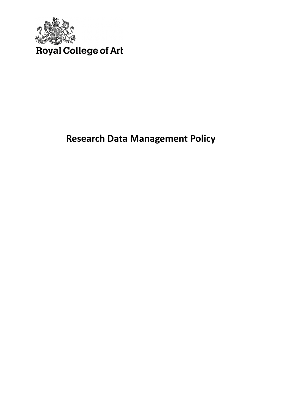

# **Research Data Management Policy**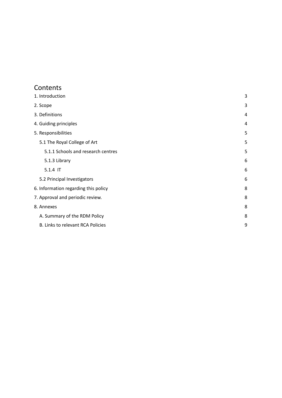### Contents

| 1. Introduction                      | 3 |
|--------------------------------------|---|
| 2. Scope                             | 3 |
| 3. Definitions                       | 4 |
| 4. Guiding principles                | 4 |
| 5. Responsibilities                  | 5 |
| 5.1 The Royal College of Art         | 5 |
| 5.1.1 Schools and research centres   | 5 |
| 5.1.3 Library                        | 6 |
| 5.1.4 IT                             | 6 |
| 5.2 Principal Investigators          | 6 |
| 6. Information regarding this policy | 8 |
| 7. Approval and periodic review.     | 8 |
| 8. Annexes                           | 8 |
| A. Summary of the RDM Policy         | 8 |
| B. Links to relevant RCA Policies    | 9 |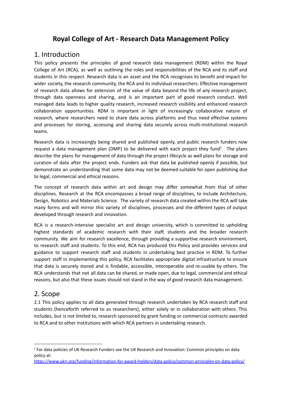# **Royal College of Art - Research Data Management Policy**

### <span id="page-2-0"></span>1. Introduction

This policy presents the principles of good research data management (RDM) within the Royal College of Art (RCA), as well as outlining the roles and responsibilities of the RCA and its staff and students in this respect. Research data is an asset and the RCA recognises its benefit and impact for wider society, the research community, the RCA and its individual researchers. Effective management of research data allows for extension of the value of data beyond the life of any research project, through data openness and sharing, and is an important part of good research conduct. Well managed data leads to higher quality research, increased research visibility and enhanced research collaboration opportunities. RDM is important in light of increasingly collaborative nature of research, where researchers need to share data across platforms and thus need effective systems and processes for storing, accessing and sharing data securely across multi-institutional research teams.

Research data is increasingly being shared and published openly, and public research funders now request a data management plan (DMP) to be delivered with each project they fund<sup>1</sup>. The plans describe the plans for management of data through the project lifecycle as well plans for storage and curation of data after the project ends. Funders ask that data be published openly if possible, but demonstrate an understanding that some data may not be deemed suitable for open publishing due to legal, commercial and ethical reasons.

The concept of research data within art and design may differ somewhat from that of other disciplines. Research at the RCA encompasses a broad range of disciplines, to include Architecture, Design, Robotics and Materials Science. The variety of research data created within the RCA will take many forms and will mirror this variety of disciplines, processes and the different types of output developed through research and innovation.

RCA is a research-intensive specialist art and design university, which is committed to upholding highest standards of academic research with their staff, students and the broader research community. We aim for research excellence, through providing a supportive research environment, to research staff and students. To this end, RCA has produced this Policy and provides services and guidance to support research staff and students in undertaking best practice in RDM. To further support staff in implementing this policy, RCA facilitates appropriate digital infrastructure to ensure that data is securely stored and is findable, accessible, interoperable and re-usable by others. The RCA understands that not all data can be shared, or made open, due to legal, commercial and ethical reasons, but also that these issues should not stand in the way of good research data management.

## <span id="page-2-1"></span>2. Scope

2.1 This policy applies to all data generated through research undertaken by RCA research staff and students (henceforth referred to as researchers), either solely or in collaboration with others. This includes, but is not limited to, research sponsored by grant funding or commercial contracts awarded to RCA and to other institutions with which RCA partners in undertaking research.

<sup>&</sup>lt;sup>1</sup> For data policies of UK Research Funders see the UK Research and Innovation: Common principles on data policy at:

<https://www.ukri.org/funding/information-for-award-holders/data-policy/common-principles-on-data-policy/>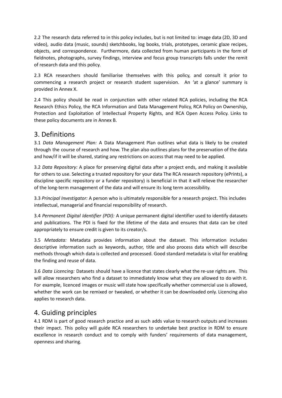2.2 The research data referred to in this policy includes, but is not limited to: image data (2D, 3D and video), audio data (music, sounds) sketchbooks, log books, trials, prototypes, ceramic glaze recipes, objects, and correspondence. Furthermore, data collected from human participants in the form of fieldnotes, photographs, survey findings, interview and focus group transcripts falls under the remit of research data and this policy.

2.3 RCA researchers should familiarise themselves with this policy, and consult it prior to commencing a research project or research student supervision. An 'at a glance' summary is provided in Annex X.

2.4 This policy should be read in conjunction with other related RCA policies, including the RCA Research Ethics Policy, the RCA Information and Data Management Policy, RCA Policy on Ownership, Protection and Exploitation of Intellectual Property Rights, and RCA Open Access Policy. Links to these policy documents are in Annex B.

### <span id="page-3-0"></span>3. Definitions

3.1 *Data Management Plan:* A Data Management Plan outlines what data is likely to be created through the course of research and how. The plan also outlines plans for the preservation of the data and how/if it will be shared, stating any restrictions on access that may need to be applied.

3.2 *Data Repository:* A place for preserving digital data after a project ends, and making it available for others to use. Selecting a trusted repository for your data The RCA research repository (ePrints), a discipline specific repository or a funder repository) is beneficial in that it will relieve the researcher of the long-term management of the data and will ensure its long term accessibility.

3.3 *Principal Investigator:* A person who is ultimately responsible for a research project. This includes intellectual, managerial and financial responsibility of research.

3.4 *Permanent Digital Identifier (PDI):* A unique permanent digital identifier used to identify datasets and publications. The PDI is fixed for the lifetime of the data and ensures that data can be cited appropriately to ensure credit is given to its creator/s.

3.5 *Metadata:* Metadata provides information about the dataset. This information includes descriptive information such as keywords, author, title and also process data which will describe methods through which data is collected and processed. Good standard metadata is vital for enabling the finding and reuse of data.

3.6 *Data Licencing:* Datasets should have a licence that states clearly what the re-use rights are. This will allow researchers who find a dataset to immediately know what they are allowed to do with it. For example, licenced images or music will state how specifically whether commercial use is allowed, whether the work can be remixed or tweaked, or whether it can be downloaded only. Licencing also applies to research data.

### <span id="page-3-1"></span>4. Guiding principles

4.1 RDM is part of good research practice and as such adds value to research outputs and increases their impact. This policy will guide RCA researchers to undertake best practice in RDM to ensure excellence in research conduct and to comply with funders' requirements of data management, openness and sharing.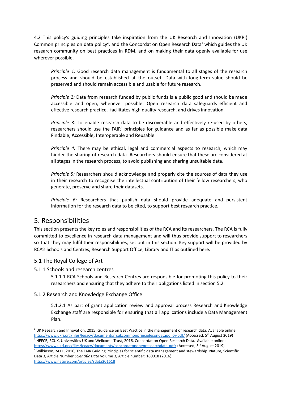4.2 This policy's guiding principles take inspiration from the UK Research and Innovation (UKRI) Common principles on data policy<sup>2</sup>, and the Concordat on Open Research Data<sup>3</sup> which guides the UK research community on best practices in RDM, and on making their data openly available for use wherever possible.

*Principle 1:* Good research data management is fundamental to all stages of the research process and should be established at the outset. Data with long-term value should be preserved and should remain accessible and usable for future research.

*Principle 2:* Data from research funded by public funds is a public good and should be made accessible and open, whenever possible. Open research data safeguards efficient and effective research practice, facilitates high quality research, and drives innovation.

*Principle 3:* To enable research data to be discoverable and effectively re-used by others, researchers should use the FAIR<sup>4</sup> principles for guidance and as far as possible make data **F**indable, **A**ccessible, **I**nteroperable and **R**eusable.

*Principle 4:* There may be ethical, legal and commercial aspects to research, which may hinder the sharing of research data. Researchers should ensure that these are considered at all stages in the research process, to avoid publishing and sharing unsuitable data.

*Principle 5:* Researchers should acknowledge and properly cite the sources of data they use in their research to recognise the intellectual contribution of their fellow researchers, who generate, preserve and share their datasets.

*Principle 6:* Researchers that publish data should provide adequate and persistent information for the research data to be cited, to support best research practice.

### <span id="page-4-0"></span>5. Responsibilities

This section presents the key roles and responsibilities of the RCA and its researchers. The RCA is fully committed to excellence in research data management and will thus provide support to researchers so that they may fulfil their responsibilities, set out in this section. Key support will be provided by RCA's Schools and Centres, Research Support Office, Library and IT as outlined here.

#### <span id="page-4-1"></span>5.1 The Royal College of Art

<span id="page-4-2"></span>5.1.1 Schools and research centres

5.1.1.1 RCA Schools and Research Centres are responsible for promoting this policy to their researchers and ensuring that they adhere to their obligations listed in section 5.2.

#### 5.1.2 Research and Knowledge Exchange Office

5.1.2.1 As part of grant application review and approval process Research and Knowledge Exchange staff are responsible for ensuring that all applications include a Data Management Plan.

```
https://www.nature.com/articles/sdata201618
```
<sup>&</sup>lt;sup>4</sup> Wilkinson, M.D., 2016, The FAIR Guiding Principles for scientific data management and stewardship. Nature, Scientific Data 3, Article Number *Scientific Data* volume 3, Article number: 160018 (2016). <sup>3</sup> HEFCE, RCUK, Universities UK and Wellcome Trust, 2016, Concordat on Open Research Data. Available online: <https://www.ukri.org/files/legacy/documents/concordatonopenresearchdata-pdf/> (Accessed, 5<sup>th</sup> August 2019)  $<sup>2</sup>$  UK Research and Innovation, 2015, Guidance on Best Practice in the management of research data. Available online:</sup> <https://www.ukri.org/files/legacy/documents/rcukcommonprinciplesondatapolicy-pdf/> (Accessed, 5<sup>th</sup> August 2019)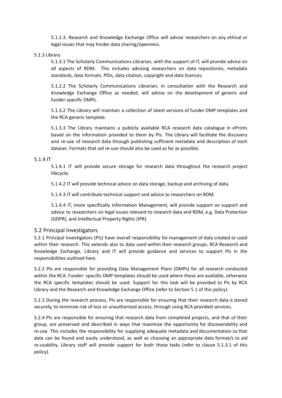5.1.2.3. Research and Knowledge Exchange Office will advise researchers on any ethical or legal issues that may hinder data sharing/openness.

#### <span id="page-5-0"></span>5.1.3 Library

5.1.3.1 The Scholarly Communications Librarian, with the support of IT, will provide advice on all aspects of RDM. This includes advising researchers on data repositories, metadata standards, data formats, PDIs, data citation, copyright and data licences.

5.1.2.2 The Scholarly Communications Librarian, in consultation with the Research and Knowledge Exchange Office as needed, will advise on the development of generic and funder-specific DMPs.

5.1.3.2 The Library will maintain a collection of latest versions of funder DMP templates and the RCA generic template.

5.1.3.3 The Library maintains a publicly available RCA research data catalogue in ePrints based on the information provided to them by PIs. The Library will facilitate the discovery and re-use of research data through publishing sufficient metadata and description of each dataset. Formats that aid re-use should also be used as far as possible.

#### <span id="page-5-1"></span>5.1.4 IT

5.1.4.1 IT will provide secure storage for research data throughout the research project lifecycle.

5.1.4.2 IT will provide technical advice on data storage, backup and archiving of data.

5.1.4.3 IT will contribute technical support and advice to researchers on RDM.

5.1.4.4 IT, more specifically Information Management, will provide support on support and advice to researchers on legal issues relevant to research data and RDM, e.g. Data Protection (GDPR), and Intellectual Property Rights (IPR).

#### <span id="page-5-2"></span>5.2 Principal Investigators

5.2.1 Principal Investigators (PIs) have overall responsibility for management of data created or used within their research. This extends also to data used within their research groups. RCA Research and Knowledge Exchange, Library and IT will provide guidance and services to support PIs in the responsibilities outlined here.

5.2.2 PIs are responsible for providing Data Management Plans (DMPs) for all research conducted within the RCA. Funder- specific DMP templates should be used where these are available, otherwise the RCA specific templates should be used. Support for this task will be provided to PIs by RCA Library and the Research and Knowledge Exchange Office (refer to Section 5.1 of this policy).

5.2.3 During the research process, PIs are responsible for ensuring that their research data is stored securely, to minimize risk of loss or unauthorised access, through using RCA provided services.

5.2.4 PIs are responsible for ensuring that research data from completed projects, and that of their group, are preserved and described in ways that maximise the opportunity for discoverability and re-use. This includes the responsibility for supplying adequate metadata and documentation so that data can be found and easily understood, as well as choosing an appropriate data format/s to aid re-usability. Library staff will provide support for both these tasks (refer to clause 5.1.3.1 of this policy).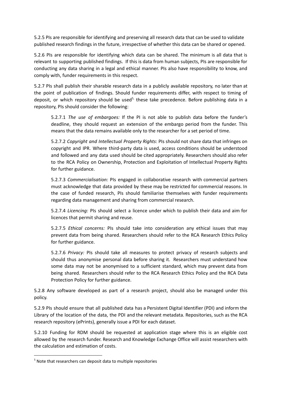5.2.5 PIs are responsible for identifying and preserving all research data that can be used to validate published research findings in the future, irrespective of whether this data can be shared or opened.

5.2.6 PIs are responsible for identifying which data can be shared. The minimum is all data that is relevant to supporting published findings. If this is data from human subjects, PIs are responsible for conducting any data sharing in a legal and ethical manner. PIs also have responsibility to know, and comply with, funder requirements in this respect.

5.2.7 PIs shall publish their sharable research data in a publicly available repository, no later than at the point of publication of findings. Should funder requirements differ, with respect to timing of deposit, or which repository should be used<sup>5,</sup> these take precedence. Before publishing data in a repository, PIs should consider the following:

5.2.7.1 *The use of embargoes:* If the PI is not able to publish data before the funder's deadline, they should request an extension of the embargo period from the funder. This means that the data remains available only to the researcher for a set period of time.

5.2.7.2 *Copyright and Intellectual Property Rights*: PIs should not share data that infringes on copyright and IPR. Where third-party data is used, access conditions should be understood and followed and any data used should be cited appropriately. Researchers should also refer to the RCA Policy on Ownership, Protection and Exploitation of Intellectual Property Rights for further guidance.

5.2.7.3 *Commercialisation:* PIs engaged in collaborative research with commercial partners must acknowledge that data provided by these may be restricted for commercial reasons. In the case of funded research, PIs should familiarise themselves with funder requirements regarding data management and sharing from commercial research.

5.2.7.4 *Licencing:* PIs should select a licence under which to publish their data and aim for licences that permit sharing and reuse.

5.2.7.5 *Ethical concerns:* PIs should take into consideration any ethical issues that may prevent data from being shared. Researchers should refer to the RCA Research Ethics Policy for further guidance.

5.2.7.6 *Privacy:* PIs should take all measures to protect privacy of research subjects and should thus anonymise personal data before sharing it. Researchers must understand how some data may not be anonymised to a sufficient standard, which may prevent data from being shared. Researchers should refer to the RCA Research Ethics Policy and the RCA Data Protection Policy for further guidance.

5.2.8 Any software developed as part of a research project, should also be managed under this policy.

5.2.9 PIs should ensure that all published data has a Persistent Digital Identifier (PDI) and inform the Library of the location of the data, the PDI and the relevant metadata. Repositories, such as the RCA research repository (ePrints), generally issue a PDI for each dataset.

5.2.10 Funding for RDM should be requested at application stage where this is an eligible cost allowed by the research funder. Research and Knowledge Exchange Office will assist researchers with the calculation and estimation of costs.

 $5$  Note that researchers can deposit data to multiple repositories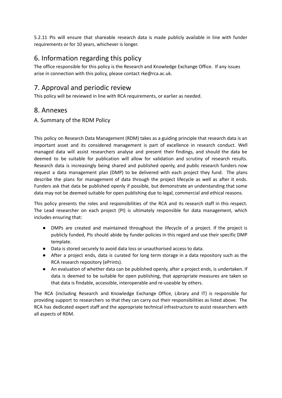5.2.11 PIs will ensure that shareable research data is made publicly available in line with funder requirements or for 10 years, whichever is longer.

# <span id="page-7-0"></span>6. Information regarding this policy

The office responsible for this policy is the Research and Knowledge Exchange Office. If any issues arise in connection with this policy, please contact rke@rca.ac.uk.

# <span id="page-7-1"></span>7. Approval and periodic review

This policy will be reviewed in line with RCA requirements, or earlier as needed.

### <span id="page-7-2"></span>8. Annexes

### <span id="page-7-3"></span>A. Summary of the RDM Policy

This policy on Research Data Management (RDM) takes as a guiding principle that research data is an important asset and its considered management is part of excellence in research conduct. Well managed data will assist researchers analyse and present their findings, and should the data be deemed to be suitable for publication will allow for validation and scrutiny of research results. Research data is increasingly being shared and published openly, and public research funders now request a data management plan (DMP) to be delivered with each project they fund. The plans describe the plans for management of data through the project lifecycle as well as after it ends. Funders ask that data be published openly if possible, but demonstrate an understanding that some data may not be deemed suitable for open publishing due to legal, commercial and ethical reasons.

This policy presents the roles and responsibilities of the RCA and its research staff in this respect. The Lead researcher on each project (PI) is ultimately responsible for data management, which includes ensuring that:

- DMPs are created and maintained throughout the lifecycle of a project. If the project is publicly funded, PIs should abide by funder policies in this regard and use their specific DMP template.
- Data is stored securely to avoid data loss or unauthorised access to data.
- After a project ends, data is curated for long term storage in a data repository such as the RCA research repository (ePrints).
- An evaluation of whether data can be published openly, after a project ends, is undertaken. If data is deemed to be suitable for open publishing, that appropriate measures are taken so that data is findable, accessible, interoperable and re-useable by others.

The RCA (including Research and Knowledge Exchange Office, Library and IT) is responsible for providing support to researchers so that they can carry out their responsibilities as listed above. The RCA has dedicated expert staff and the appropriate technical infrastructure to assist researchers with all aspects of RDM.